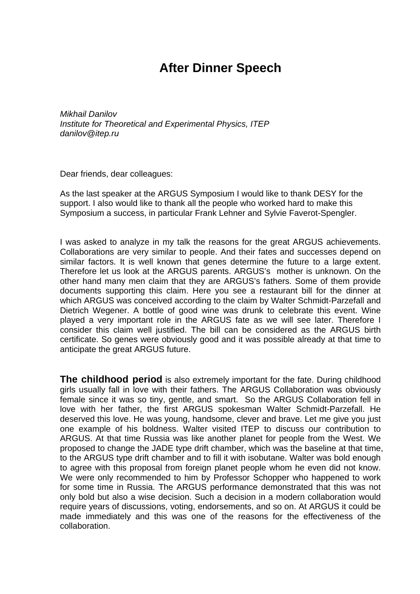## **After Dinner Speech**

*Mikhail Danilov Institute for Theoretical and Experimental Physics, ITEP danilov@itep.ru* 

Dear friends, dear colleagues:

As the last speaker at the ARGUS Symposium I would like to thank DESY for the support. I also would like to thank all the people who worked hard to make this Symposium a success, in particular Frank Lehner and Sylvie Faverot-Spengler.

I was asked to analyze in my talk the reasons for the great ARGUS achievements. Collaborations are very similar to people. And their fates and successes depend on similar factors. It is well known that genes determine the future to a large extent. Therefore let us look at the ARGUS parents. ARGUS's mother is unknown. On the other hand many men claim that they are ARGUS's fathers. Some of them provide documents supporting this claim. Here you see a restaurant bill for the dinner at which ARGUS was conceived according to the claim by Walter Schmidt-Parzefall and Dietrich Wegener. A bottle of good wine was drunk to celebrate this event. Wine played a very important role in the ARGUS fate as we will see later. Therefore I consider this claim well justified. The bill can be considered as the ARGUS birth certificate. So genes were obviously good and it was possible already at that time to anticipate the great ARGUS future.

**The childhood period** is also extremely important for the fate. During childhood girls usually fall in love with their fathers. The ARGUS Collaboration was obviously female since it was so tiny, gentle, and smart. So the ARGUS Collaboration fell in love with her father, the first ARGUS spokesman Walter Schmidt-Parzefall. He deserved this love. He was young, handsome, clever and brave. Let me give you just one example of his boldness. Walter visited ITEP to discuss our contribution to ARGUS. At that time Russia was like another planet for people from the West. We proposed to change the JADE type drift chamber, which was the baseline at that time, to the ARGUS type drift chamber and to fill it with isobutane. Walter was bold enough to agree with this proposal from foreign planet people whom he even did not know. We were only recommended to him by Professor Schopper who happened to work for some time in Russia. The ARGUS performance demonstrated that this was not only bold but also a wise decision. Such a decision in a modern collaboration would require years of discussions, voting, endorsements, and so on. At ARGUS it could be made immediately and this was one of the reasons for the effectiveness of the collaboration.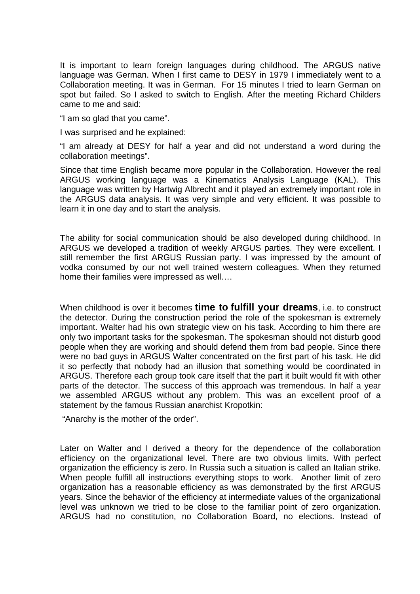It is important to learn foreign languages during childhood. The ARGUS native language was German. When I first came to DESY in 1979 I immediately went to a Collaboration meeting. It was in German. For 15 minutes I tried to learn German on spot but failed. So I asked to switch to English. After the meeting Richard Childers came to me and said:

"I am so glad that you came".

I was surprised and he explained:

"I am already at DESY for half a year and did not understand a word during the collaboration meetings".

Since that time English became more popular in the Collaboration. However the real ARGUS working language was a Kinematics Analysis Language (KAL). This language was written by Hartwig Albrecht and it played an extremely important role in the ARGUS data analysis. It was very simple and very efficient. It was possible to learn it in one day and to start the analysis.

The ability for social communication should be also developed during childhood. In ARGUS we developed a tradition of weekly ARGUS parties. They were excellent. I still remember the first ARGUS Russian party. I was impressed by the amount of vodka consumed by our not well trained western colleagues. When they returned home their families were impressed as well….

When childhood is over it becomes **time to fulfill your dreams**, i.e. to construct the detector. During the construction period the role of the spokesman is extremely important. Walter had his own strategic view on his task. According to him there are only two important tasks for the spokesman. The spokesman should not disturb good people when they are working and should defend them from bad people. Since there were no bad guys in ARGUS Walter concentrated on the first part of his task. He did it so perfectly that nobody had an illusion that something would be coordinated in ARGUS. Therefore each group took care itself that the part it built would fit with other parts of the detector. The success of this approach was tremendous. In half a year we assembled ARGUS without any problem. This was an excellent proof of a statement by the famous Russian anarchist Kropotkin:

"Anarchy is the mother of the order".

Later on Walter and I derived a theory for the dependence of the collaboration efficiency on the organizational level. There are two obvious limits. With perfect organization the efficiency is zero. In Russia such a situation is called an Italian strike. When people fulfill all instructions everything stops to work. Another limit of zero organization has a reasonable efficiency as was demonstrated by the first ARGUS years. Since the behavior of the efficiency at intermediate values of the organizational level was unknown we tried to be close to the familiar point of zero organization. ARGUS had no constitution, no Collaboration Board, no elections. Instead of